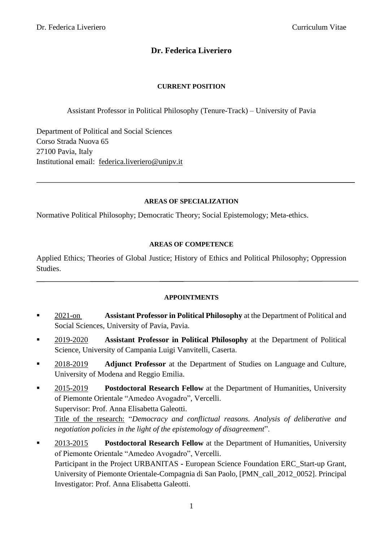Ī

# **Dr. Federica Liveriero**

## **CURRENT POSITION**

Assistant Professor in Political Philosophy (Tenure-Track) – University of Pavia

Department of Political and Social Sciences Corso Strada Nuova 65 27100 Pavia, Italy Institutional email: [federica.liveriero@unipv.it](mailto:federica.liveriero@unipv.it)

### **AREAS OF SPECIALIZATION**

Normative Political Philosophy; Democratic Theory; Social Epistemology; Meta-ethics.

#### **AREAS OF COMPETENCE**

Applied Ethics; Theories of Global Justice; History of Ethics and Political Philosophy; Oppression Studies.

#### **APPOINTMENTS**

- **EXECUTE:** Assistant Professor in Political Philosophy at the Department of Political and Social Sciences, University of Pavia, Pavia.
- 2019-2020 **Assistant Professor in Political Philosophy** at the Department of Political Science, University of Campania Luigi Vanvitelli, Caserta.
- 2018-2019 **Adjunct Professor** at the Department of Studies on Language and Culture, University of Modena and Reggio Emilia.
- **2015-2019 Postdoctoral Research Fellow** at the Department of Humanities, University of Piemonte Orientale "Amedeo Avogadro", Vercelli. Supervisor: Prof. Anna Elisabetta Galeotti. Title of the research: "*Democracy and conflictual reasons. Analysis of deliberative and negotiation policies in the light of the epistemology of disagreement*".
- 2013-2015 **Postdoctoral Research Fellow** at the Department of Humanities, University of Piemonte Orientale "Amedeo Avogadro", Vercelli. Participant in the Project URBANITAS **-** European Science Foundation ERC\_Start-up Grant, University of Piemonte Orientale-Compagnia di San Paolo, [PMN\_call\_2012\_0052]. Principal Investigator: Prof. Anna Elisabetta Galeotti.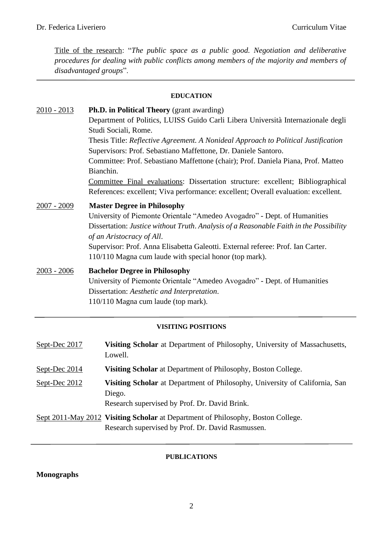Title of the research: "*The public space as a public good. Negotiation and deliberative procedures for dealing with public conflicts among members of the majority and members of disadvantaged groups*".

#### **EDUCATION**

| $2010 - 2013$ | <b>Ph.D. in Political Theory</b> (grant awarding)                                      |
|---------------|----------------------------------------------------------------------------------------|
|               | Department of Politics, LUISS Guido Carli Libera Università Internazionale degli       |
|               | Studi Sociali, Rome.                                                                   |
|               | Thesis Title: Reflective Agreement. A Nonideal Approach to Political Justification     |
|               | Supervisors: Prof. Sebastiano Maffettone, Dr. Daniele Santoro.                         |
|               | Committee: Prof. Sebastiano Maffettone (chair); Prof. Daniela Piana, Prof. Matteo      |
|               | Bianchin.                                                                              |
|               | Committee Final evaluations: Dissertation structure: excellent; Bibliographical        |
|               | References: excellent; Viva performance: excellent; Overall evaluation: excellent.     |
| $2007 - 2009$ | <b>Master Degree in Philosophy</b>                                                     |
|               | University of Piemonte Orientale "Amedeo Avogadro" - Dept. of Humanities               |
|               | Dissertation: Justice without Truth. Analysis of a Reasonable Faith in the Possibility |
|               | of an Aristocracy of All.                                                              |
|               | Supervisor: Prof. Anna Elisabetta Galeotti. External referee: Prof. Ian Carter.        |
|               | 110/110 Magna cum laude with special honor (top mark).                                 |
| $2003 - 2006$ | <b>Bachelor Degree in Philosophy</b>                                                   |
|               | University of Piemonte Orientale "Amedeo Avogadro" - Dept. of Humanities               |
|               | Dissertation: Aesthetic and Interpretation.                                            |
|               | 110/110 Magna cum laude (top mark).                                                    |

#### **VISITING POSITIONS**

| Sept-Dec 2017 | Visiting Scholar at Department of Philosophy, University of Massachusetts,<br>Lowell.                                                  |
|---------------|----------------------------------------------------------------------------------------------------------------------------------------|
| Sept-Dec 2014 | <b>Visiting Scholar</b> at Department of Philosophy, Boston College.                                                                   |
| Sept-Dec 2012 | Visiting Scholar at Department of Philosophy, University of California, San<br>Diego.<br>Research supervised by Prof. Dr. David Brink. |
|               | Sept 2011-May 2012 Visiting Scholar at Department of Philosophy, Boston College.<br>Research supervised by Prof. Dr. David Rasmussen.  |

### **PUBLICATIONS**

## **Monographs**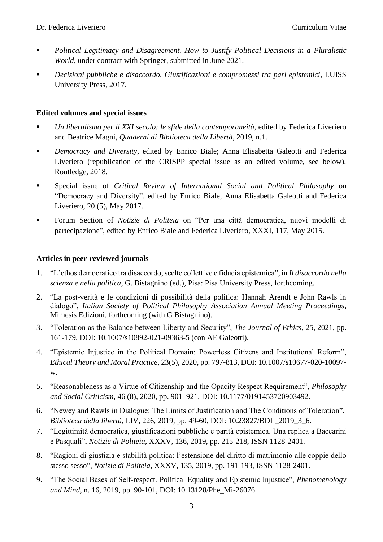- *Political Legitimacy and Disagreement. How to Justify Political Decisions in a Pluralistic World*, under contract with Springer, submitted in June 2021.
- *Decisioni pubbliche e disaccordo. Giustificazioni e compromessi tra pari epistemici*, LUISS University Press, 2017.

## **Edited volumes and special issues**

- Un liberalismo per il XXI secolo: le sfide della contemporaneità, edited by Federica Liveriero and Beatrice Magni, *Quaderni di Biblioteca della Libertà*, 2019, n.1.
- *Democracy and Diversity*, edited by Enrico Biale; Anna Elisabetta Galeotti and Federica Liveriero (republication of the CRISPP special issue as an edited volume, see below), Routledge, 2018.
- Special issue of *Critical Review of International Social and Political Philosophy* on "Democracy and Diversity", edited by Enrico Biale; Anna Elisabetta Galeotti and Federica Liveriero, 20 (5), May 2017.
- Forum Section of *Notizie di Politeia* on "Per una città democratica, nuovi modelli di partecipazione", edited by Enrico Biale and Federica Liveriero, XXXI, 117, May 2015.

### **Articles in peer-reviewed journals**

- 1. "L'ethos democratico tra disaccordo, scelte collettive e fiducia epistemica", in *Il disaccordo nella scienza e nella politica*, G. Bistagnino (ed.), Pisa: Pisa University Press, forthcoming.
- 2. "La post-verità e le condizioni di possibilità della politica: Hannah Arendt e John Rawls in dialogo", *Italian Society of Political Philosophy Association Annual Meeting Proceedings*, Mimesis Edizioni, forthcoming (with G Bistagnino).
- 3. "Toleration as the Balance between Liberty and Security", *The Journal of Ethics*, 25, 2021, pp. 161-179, DOI: 10.1007/s10892-021-09363-5 (con AE Galeotti).
- 4. "Epistemic Injustice in the Political Domain: Powerless Citizens and Institutional Reform", *Ethical Theory and Moral Practice*, 23(5), 2020, pp. 797-813, DOI: 10.1007/s10677-020-10097 w.
- 5. "Reasonableness as a Virtue of Citizenship and the Opacity Respect Requirement", *Philosophy and Social Criticism*, 46 (8), 2020, pp. 901–921, DOI: 10.1177/0191453720903492.
- 6. "Newey and Rawls in Dialogue: The Limits of Justification and The Conditions of Toleration", *Biblioteca della libertà*, LIV, 226, 2019, pp. 49-60, DOI: 10.23827/BDL\_2019\_3\_6.
- 7. "Legittimità democratica, giustificazioni pubbliche e parità epistemica. Una replica a Baccarini e Pasquali", *Notizie di Politeia*, XXXV, 136, 2019, pp. 215-218, ISSN 1128-2401.
- 8. "Ragioni di giustizia e stabilità politica: l'estensione del diritto di matrimonio alle coppie dello stesso sesso", *Notizie di Politeia*, XXXV, 135, 2019, pp. 191-193, ISSN 1128-2401.
- 9. "The Social Bases of Self-respect. Political Equality and Epistemic Injustice", *Phenomenology and Mind*, n. 16, 2019, pp. 90-101, DOI: 10.13128/Phe\_Mi-26076.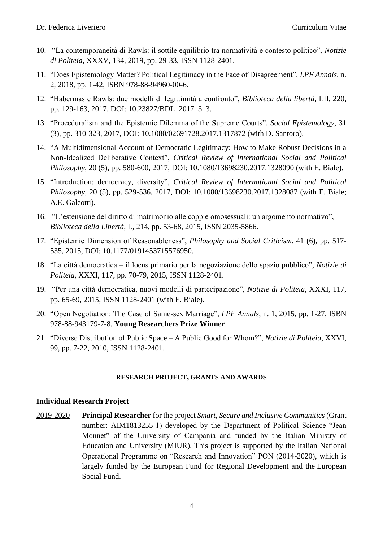- 10. "La contemporaneità di Rawls: il sottile equilibrio tra normatività e contesto politico", *Notizie di Politeia*, XXXV, 134, 2019, pp. 29-33, ISSN 1128-2401.
- 11. "Does Epistemology Matter? Political Legitimacy in the Face of Disagreement", *LPF Annals*, n. 2, 2018, pp. 1-42, ISBN 978-88-94960-00-6.
- 12. "Habermas e Rawls: due modelli di legittimità a confronto", *Biblioteca della libertà*, LII, 220, pp. 129-163, 2017, DOI: 10.23827/BDL\_2017\_3\_3.
- 13. "Proceduralism and the Epistemic Dilemma of the Supreme Courts", *Social Epistemology*, 31 (3), pp. 310-323, 2017, DOI: 10.1080/02691728.2017.1317872 (with D. Santoro).
- 14. "A Multidimensional Account of Democratic Legitimacy: How to Make Robust Decisions in a Non-Idealized Deliberative Context", *Critical Review of International Social and Political Philosophy*, 20 (5), pp. 580-600, 2017, DOI: 10.1080/13698230.2017.1328090 (with E. Biale).
- 15. "Introduction: democracy, diversity", *Critical Review of International Social and Political Philosophy*, 20 (5), pp. 529-536, 2017, DOI: 10.1080/13698230.2017.1328087 (with E. Biale; A.E. Galeotti).
- 16. "L'estensione del diritto di matrimonio alle coppie omosessuali: un argomento normativo", *Biblioteca della Libertà*, L, 214, pp. 53-68, 2015, ISSN 2035-5866.
- 17. "Epistemic Dimension of Reasonableness", *Philosophy and Social Criticism*, 41 (6), pp. 517- 535, 2015, DOI: 10.1177/0191453715576950.
- 18. "La città democratica il locus primario per la negoziazione dello spazio pubblico", *Notizie di Politeia*, XXXI, 117, pp. 70-79, 2015, ISSN 1128-2401.
- 19. "Per una città democratica, nuovi modelli di partecipazione", *Notizie di Politeia*, XXXI, 117, pp. 65-69, 2015, ISSN 1128-2401 (with E. Biale).
- 20. "Open Negotiation: The Case of Same-sex Marriage", *LPF Annals*, n. 1, 2015, pp. 1-27, ISBN 978-88-943179-7-8. **Young Researchers Prize Winner**.
- 21. "Diverse Distribution of Public Space A Public Good for Whom?", *Notizie di Politeia*, XXVI, 99, pp. 7-22, 2010, ISSN 1128-2401.

#### **RESEARCH PROJECT, GRANTS AND AWARDS**

#### **Individual Research Project**

2019-2020 **Principal Researcher** for the project *Smart, Secure and Inclusive Communities* (Grant number: AIM1813255-1) developed by the Department of Political Science "Jean Monnet" of the University of Campania and funded by the Italian Ministry of Education and University (MIUR). This project is supported by the Italian National Operational Programme on "Research and Innovation" PON (2014-2020), which is largely funded by the European Fund for Regional Development and the European Social Fund.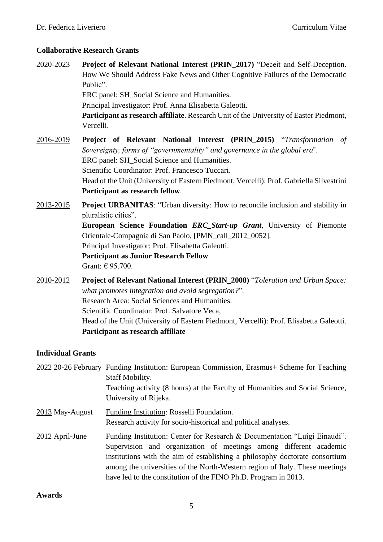### **Collaborative Research Grants**

- 2020-2023 **Project of Relevant National Interest (PRIN\_2017)** "Deceit and Self-Deception. How We Should Address Fake News and Other Cognitive Failures of the Democratic Public". ERC panel: SH\_Social Science and Humanities. Principal Investigator: Prof. Anna Elisabetta Galeotti. **Participant as research affiliate**. Research Unit of the University of Easter Piedmont, Vercelli.
- 2016-2019 **Project of Relevant National Interest (PRIN\_2015)** "*Transformation of Sovereignty, forms of "governmentality" and governance in the global era*". ERC panel: SH\_Social Science and Humanities. Scientific Coordinator: Prof. Francesco Tuccari. Head of the Unit (University of Eastern Piedmont, Vercelli): Prof. Gabriella Silvestrini **Participant as research fellow**.
- 2013-2015 **Project URBANITAS**: "Urban diversity: How to reconcile inclusion and stability in pluralistic cities". **European Science Foundation** *ERC\_Start-up Grant*, University of Piemonte Orientale-Compagnia di San Paolo, [PMN\_call\_2012\_0052]. Principal Investigator: Prof. Elisabetta Galeotti. **Participant as Junior Research Fellow** Grant: € 95.700.
- 2010-2012 **Project of Relevant National Interest (PRIN\_2008)** "*Toleration and Urban Space: what promotes integration and avoid segregation?*". Research Area: Social Sciences and Humanities. Scientific Coordinator: Prof. Salvatore Veca, Head of the Unit (University of Eastern Piedmont, Vercelli): Prof. Elisabetta Galeotti. **Participant as research affiliate**

#### **Individual Grants**

|                 | 2022 20-26 February Funding Institution: European Commission, Erasmus + Scheme for Teaching<br><b>Staff Mobility.</b><br>Teaching activity (8 hours) at the Faculty of Humanities and Social Science,<br>University of Rijeka.                                                                                                                                                  |
|-----------------|---------------------------------------------------------------------------------------------------------------------------------------------------------------------------------------------------------------------------------------------------------------------------------------------------------------------------------------------------------------------------------|
| 2013 May-August | Funding Institution: Rosselli Foundation.<br>Research activity for socio-historical and political analyses.                                                                                                                                                                                                                                                                     |
| 2012 April-June | Funding Institution: Center for Research & Documentation "Luigi Einaudi".<br>Supervision and organization of meetings among different academic<br>institutions with the aim of establishing a philosophy doctorate consortium<br>among the universities of the North-Western region of Italy. These meetings<br>have led to the constitution of the FINO Ph.D. Program in 2013. |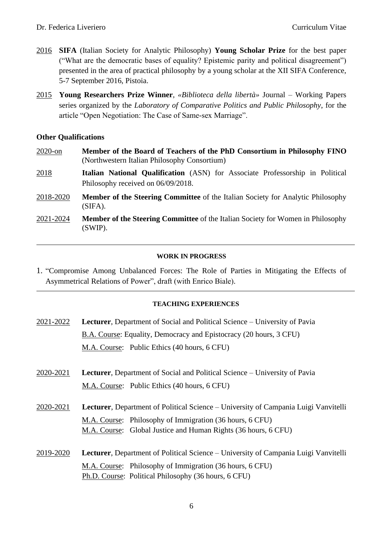- 2016 **SIFA** (Italian Society for Analytic Philosophy) **Young Scholar Prize** for the best paper ("What are the democratic bases of equality? Epistemic parity and political disagreement") presented in the area of practical philosophy by a young scholar at the XII SIFA Conference, 5-7 September 2016, Pistoia.
- 2015 **Young Researchers Prize Winner**, *«Biblioteca della libertà»* Journal Working Papers series organized by the *Laboratory of Comparative Politics and Public Philosophy*, for the article "Open Negotiation: The Case of Same-sex Marriage".

#### **Other Qualifications**

- 2020-on **Member of the Board of Teachers of the PhD Consortium in Philosophy FINO** (Northwestern Italian Philosophy Consortium)
- 2018 **Italian National Qualification** (ASN) for Associate Professorship in Political Philosophy received on 06/09/2018.
- 2018-2020 **Member of the Steering Committee** of the Italian Society for Analytic Philosophy (SIFA).
- 2021-2024 **Member of the Steering Committee** of the Italian Society for Women in Philosophy (SWIP).

#### **WORK IN PROGRESS**

1. "Compromise Among Unbalanced Forces: The Role of Parties in Mitigating the Effects of Asymmetrical Relations of Power", draft (with Enrico Biale).

#### **TEACHING EXPERIENCES**

- 2021-2022 **Lecturer**, Department of Social and Political Science University of Pavia B.A. Course: Equality, Democracy and Epistocracy (20 hours, 3 CFU) M.A. Course: Public Ethics (40 hours, 6 CFU)
- 2020-2021 **Lecturer**, Department of Social and Political Science University of Pavia M.A. Course: Public Ethics (40 hours, 6 CFU)
- 2020-2021 **Lecturer**, Department of Political Science University of Campania Luigi Vanvitelli M.A. Course: Philosophy of Immigration (36 hours, 6 CFU) M.A. Course: Global Justice and Human Rights (36 hours, 6 CFU)
- 2019-2020 **Lecturer**, Department of Political Science University of Campania Luigi Vanvitelli M.A. Course: Philosophy of Immigration (36 hours, 6 CFU) Ph.D. Course:Political Philosophy (36 hours, 6 CFU)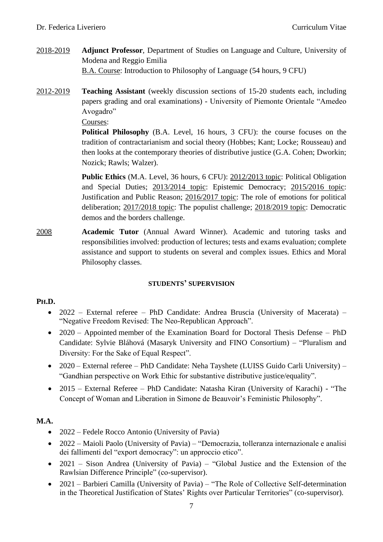- 2018-2019 **Adjunct Professor**, Department of Studies on Language and Culture, University of Modena and Reggio Emilia B.A. Course: Introduction to Philosophy of Language (54 hours, 9 CFU)
- 2012-2019 **Teaching Assistant** (weekly discussion sections of 15-20 students each, including papers grading and oral examinations) - University of Piemonte Orientale "Amedeo Avogadro"

Courses:

**Political Philosophy** (B.A. Level, 16 hours, 3 CFU): the course focuses on the tradition of contractarianism and social theory (Hobbes; Kant; Locke; Rousseau) and then looks at the contemporary theories of distributive justice (G.A. Cohen; Dworkin; Nozick; Rawls; Walzer).

**Public Ethics** (M.A. Level, 36 hours, 6 CFU): 2012/2013 topic: Political Obligation and Special Duties; 2013/2014 topic: Epistemic Democracy; 2015/2016 topic: Justification and Public Reason; 2016/2017 topic: The role of emotions for political deliberation; 2017/2018 topic: The populist challenge; 2018/2019 topic: Democratic demos and the borders challenge.

2008 **Academic Tutor** (Annual Award Winner). Academic and tutoring tasks and responsibilities involved: production of lectures; tests and exams evaluation; complete assistance and support to students on several and complex issues. Ethics and Moral Philosophy classes.

#### **STUDENTS' SUPERVISION**

#### **PH.D.**

- 2022 External referee PhD Candidate: Andrea Bruscia (University of Macerata) "Negative Freedom Revised: The Neo-Republican Approach".
- 2020 Appointed member of the Examination Board for Doctoral Thesis Defense PhD Candidate: Sylvie Bláhová (Masaryk University and FINO Consortium) – "Pluralism and Diversity: For the Sake of Equal Respect".
- 2020 External referee PhD Candidate: Neha Tayshete (LUISS Guido Carli University) "Gandhian perspective on Work Ethic for substantive distributive justice/equality".
- 2015 External Referee PhD Candidate: Natasha Kiran (University of Karachi) "The Concept of Woman and Liberation in Simone de Beauvoir's Feministic Philosophy".

## **M.A.**

- 2022 Fedele Rocco Antonio (University of Pavia)
- 2022 Maioli Paolo (University of Pavia) "Democrazia, tolleranza internazionale e analisi dei fallimenti del "export democracy": un approccio etico".
- 2021 Sison Andrea (University of Pavia) "Global Justice and the Extension of the Rawlsian Difference Principle" (co-supervisor).
- 2021 Barbieri Camilla (University of Pavia) "The Role of Collective Self-determination in the Theoretical Justification of States' Rights over Particular Territories" (co-supervisor).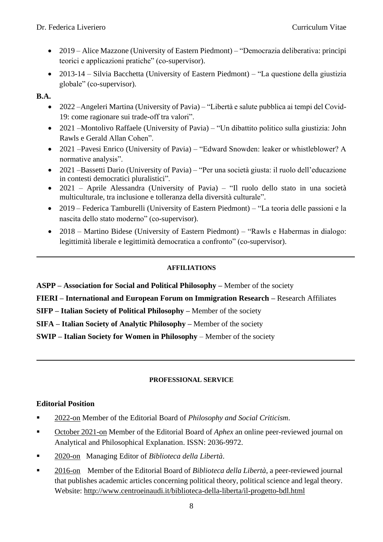- 2019 Alice Mazzone (University of Eastern Piedmont) "Democrazia deliberativa: principi teorici e applicazioni pratiche" (co-supervisor).
- 2013-14 Silvia Bacchetta (University of Eastern Piedmont) "La questione della giustizia globale" (co-supervisor).

## **B.A.**

- 2022 –Angeleri Martina (University of Pavia) "Libertà e salute pubblica ai tempi del Covid-19: come ragionare sui trade-off tra valori".
- 2021 –Montolivo Raffaele (University of Pavia) "Un dibattito politico sulla giustizia: John Rawls e Gerald Allan Cohen".
- 2021 –Pavesi Enrico (University of Pavia) "Edward Snowden: leaker or whistleblower? A normative analysis".
- 2021 –Bassetti Dario (University of Pavia) "Per una società giusta: il ruolo dell'educazione in contesti democratici pluralistici".
- 2021 Aprile Alessandra (University of Pavia) "Il ruolo dello stato in una società multiculturale, tra inclusione e tolleranza della diversità culturale".
- 2019 Federica Tamburelli (University of Eastern Piedmont) "La teoria delle passioni e la nascita dello stato moderno" (co-supervisor).
- 2018 Martino Bidese (University of Eastern Piedmont) "Rawls e Habermas in dialogo: legittimità liberale e legittimità democratica a confronto" (co-supervisor).

## **AFFILIATIONS**

**ASPP – Association for Social and Political Philosophy –** Member of the society

**FIERI – International and European Forum on Immigration Research –** Research Affiliates

**SIFP – Italian Society of Political Philosophy –** Member of the society

**SIFA – Italian Society of Analytic Philosophy –** Member of the society

**SWIP – Italian Society for Women in Philosophy** – Member of the society

## **PROFESSIONAL SERVICE**

# **Editorial Position**

- 2022-on Member of the Editorial Board of *Philosophy and Social Criticism*.
- October 2021-on Member of the Editorial Board of *Aphex* an online peer-reviewed journal on Analytical and Philosophical Explanation. ISSN: 2036-9972.
- 2020-on Managing Editor of *Biblioteca della Libertà*.
- 2016-on Member of the Editorial Board of *Biblioteca della Libertà*, a peer-reviewed journal that publishes academic articles concerning political theory, political science and legal theory. Website:<http://www.centroeinaudi.it/biblioteca-della-liberta/il-progetto-bdl.html>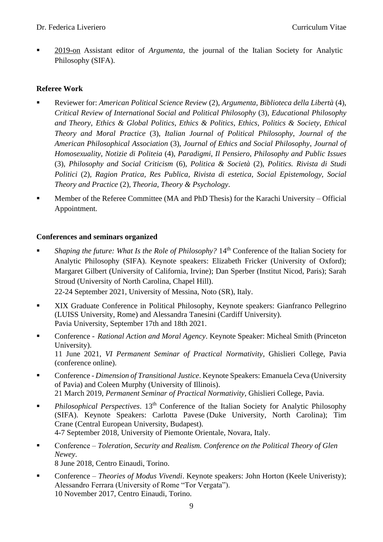■ 2019-on Assistant editor of *Argumenta*, the journal of the Italian Society for Analytic Philosophy (SIFA).

### **Referee Work**

- Reviewer for: *American Political Science Review* (2), *Argumenta, Biblioteca della Libertà* (4), *Critical Review of International Social and Political Philosophy* (3), *Educational Philosophy and Theory*, *Ethics & Global Politics*, *Ethics & Politics*, *Ethics, Politics & Society*, *Ethical Theory and Moral Practice* (3), *Italian Journal of Political Philosophy*, *Journal of the American Philosophical Association* (3), *Journal of Ethics and Social Philosophy*, *Journal of Homosexuality*, *Notizie di Politeia* (4), *Paradigmi*, *Il Pensiero*, *Philosophy and Public Issues* (3)*, Philosophy and Social Criticism* (6), *Politica & Società* (2), *Politics. Rivista di Studi Politici* (2)*, Ragion Pratica, Res Publica*, *Rivista di estetica*, *Social Epistemology, Social Theory and Practice* (2)*, Theoria*, *Theory & Psychology*.
- **Member of the Referee Committee (MA and PhD Thesis) for the Karachi University Official** Appointment.

#### **Conferences and seminars organized**

■ *Shaping the future: What Is the Role of Philosophy?* 14<sup>th</sup> Conference of the Italian Society for Analytic Philosophy (SIFA). Keynote speakers: Elizabeth Fricker (University of Oxford); Margaret Gilbert (University of California, Irvine); Dan Sperber (Institut Nicod, Paris); Sarah Stroud (University of North Carolina, Chapel Hill).

22-24 September 2021, University of Messina, Noto (SR), Italy.

- XIX Graduate Conference in Political Philosophy, Keynote speakers: Gianfranco Pellegrino (LUISS University, Rome) and Alessandra Tanesini (Cardiff University). Pavia University, September 17th and 18th 2021.
- Conference *Rational Action and Moral Agency*. Keynote Speaker: Micheal Smith (Princeton University). 11 June 2021, *VI Permanent Seminar of Practical Normativity*, Ghislieri College, Pavia (conference online).
- Conference *Dimension of Transitional Justice*. Keynote Speakers: Emanuela Ceva (University of Pavia) and Coleen Murphy (University of Illinois). 21 March 2019, *Permanent Seminar of Practical Normativity*, Ghislieri College, Pavia.
- **•** *Philosophical Perspectives*. 13<sup>th</sup> Conference of the Italian Society for Analytic Philosophy (SIFA). Keynote Speakers: Carlotta Pavese (Duke University, North Carolina); Tim Crane (Central European University, Budapest). 4-7 September 2018, University of Piemonte Orientale, Novara, Italy.
- Conference *Toleration, Security and Realism. Conference on the Political Theory of Glen Newey*. 8 June 2018, Centro Einaudi, Torino.
- Conference *Theories of Modus Vivendi*. Keynote speakers: John Horton (Keele Univeristy); Alessandro Ferrara (University of Rome "Tor Vergata"). 10 November 2017, Centro Einaudi, Torino.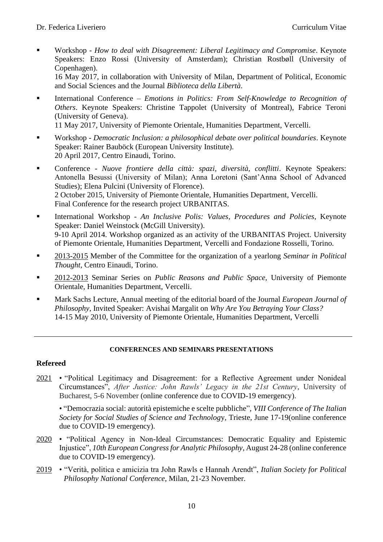- Workshop *How to deal with Disagreement: Liberal Legitimacy and Compromise*. Keynote Speakers: Enzo Rossi (University of Amsterdam); Christian Rostbøll (University of Copenhagen). 16 May 2017, in collaboration with University of Milan, Department of Political, Economic and Social Sciences and the Journal *Biblioteca della Libertà*.
- International Conference *Emotions in Politics: From Self-Knowledge to Recognition of Others*. Keynote Speakers: Christine Tappolet (University of Montreal), Fabrice Teroni (University of Geneva).

11 May 2017, University of Piemonte Orientale, Humanities Department, Vercelli.

- Workshop *Democratic Inclusion: a philosophical debate over political boundaries*. Keynote Speaker: Rainer Bauböck (European University Institute). 20 April 2017, Centro Einaudi, Torino.
- Conference *Nuove frontiere della città: spazi, diversità, conflitti*. Keynote Speakers: Antonella Besussi (University of Milan); Anna Loretoni (Sant'Anna School of Advanced Studies); Elena Pulcini (University of Florence). 2 October 2015, University of Piemonte Orientale, Humanities Department, Vercelli. Final Conference for the research project URBANITAS.
- International Workshop *An Inclusive Polis: Values, Procedures and Policies*, Keynote Speaker: Daniel Weinstock (McGill University). 9-10 April 2014. Workshop organized as an activity of the URBANITAS Project. University of Piemonte Orientale, Humanities Department, Vercelli and Fondazione Rosselli, Torino.
- 2013-2015 Member of the Committee for the organization of a yearlong *Seminar in Political Thought*, Centro Einaudi, Torino.
- 2012-2013 Seminar Series on *Public Reasons and Public Space,* University of Piemonte Orientale, Humanities Department, Vercelli.
- Mark Sachs Lecture, Annual meeting of the editorial board of the Journal *European Journal of Philosophy*, Invited Speaker: Avishai Margalit on *Why Are You Betraying Your Class?* 14-15 May 2010, University of Piemonte Orientale, Humanities Department, Vercelli

#### **CONFERENCES AND SEMINARS PRESENTATIONS**

#### **Refereed**

2021 • "Political Legitimacy and Disagreement: for a Reflective Agreement under Nonideal Circumstances", *After Justice: John Rawls' Legacy in the 21st Century*, University of Bucharest, 5-6 November (online conference due to COVID-19 emergency).

• "Democrazia social: autorità epistemiche e scelte pubbliche", *VIII Conference of The Italian Society for Social Studies of Science and Technolog*y, Trieste, June 17-19(online conference due to COVID-19 emergency).

- 2020 "Political Agency in Non-Ideal Circumstances: Democratic Equality and Epistemic Injustice", *10th European Congress for Analytic Philosophy*, August 24-28 (online conference due to COVID-19 emergency).
- 2019 "Verità, politica e amicizia tra John Rawls e Hannah Arendt", *Italian Society for Political Philosophy National Conference*, Milan, 21-23 November.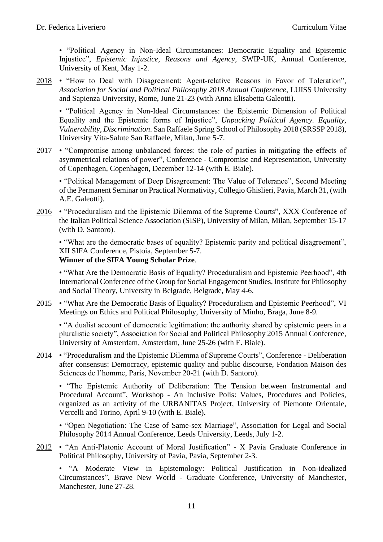• "Political Agency in Non-Ideal Circumstances: Democratic Equality and Epistemic Injustice", *Epistemic Injustice, Reasons and Agency*, SWIP-UK, Annual Conference, University of Kent, May 1-2.

2018 • "How to Deal with Disagreement: Agent-relative Reasons in Favor of Toleration", *Association for Social and Political Philosophy 2018 Annual Conference*, LUISS University and Sapienza University, Rome, June 21-23 (with Anna Elisabetta Galeotti).

• "Political Agency in Non-Ideal Circumstances: the Epistemic Dimension of Political Equality and the Epistemic forms of Injustice", *Unpacking Political Agency. Equality, Vulnerability, Discrimination*. San Raffaele Spring School of Philosophy 2018 (SRSSP 2018), University Vita-Salute San Raffaele, Milan, June 5-7.

2017 • "Compromise among unbalanced forces: the role of parties in mitigating the effects of asymmetrical relations of power", Conference - Compromise and Representation, University of Copenhagen, Copenhagen, December 12-14 (with E. Biale).

• "Political Management of Deep Disagreement: The Value of Tolerance", Second Meeting of the Permanent Seminar on Practical Normativity, Collegio Ghislieri, Pavia, March 31, (with A.E. Galeotti).

2016 • "Proceduralism and the Epistemic Dilemma of the Supreme Courts", XXX Conference of the Italian Political Science Association (SISP), University of Milan, Milan, September 15-17 (with D. Santoro).

• "What are the democratic bases of equality? Epistemic parity and political disagreement", XII SIFA Conference, Pistoia, September 5-7. **Winner of the SIFA Young Scholar Prize**.

• "What Are the Democratic Basis of Equality? Proceduralism and Epistemic Peerhood", 4th International Conference of the Group for Social Engagement Studies, Institute for Philosophy and Social Theory, University in Belgrade, Belgrade, May 4-6.

2015 • "What Are the Democratic Basis of Equality? Proceduralism and Epistemic Peerhood", VI Meetings on Ethics and Political Philosophy, University of Minho, Braga, June 8-9.

• "A dualist account of democratic legitimation: the authority shared by epistemic peers in a pluralistic society", Association for Social and Political Philosophy 2015 Annual Conference, University of Amsterdam, Amsterdam, June 25-26 (with E. Biale).

2014 • "Proceduralism and the Epistemic Dilemma of Supreme Courts", Conference - Deliberation after consensus: Democracy, epistemic quality and public discourse, Fondation Maison des Sciences de l'homme, Paris, November 20-21 (with D. Santoro).

• "The Epistemic Authority of Deliberation: The Tension between Instrumental and Procedural Account", Workshop - An Inclusive Polis: Values, Procedures and Policies, organized as an activity of the URBANITAS Project, University of Piemonte Orientale, Vercelli and Torino, April 9-10 (with E. Biale).

• "Open Negotiation: The Case of Same-sex Marriage", Association for Legal and Social Philosophy 2014 Annual Conference, Leeds University, Leeds, July 1-2.

2012 • "An Anti-Platonic Account of Moral Justification" - X Pavia Graduate Conference in Political Philosophy, University of Pavia, Pavia, September 2-3.

• "A Moderate View in Epistemology: Political Justification in Non-idealized Circumstances", Brave New World - Graduate Conference, University of Manchester, Manchester, June 27-28.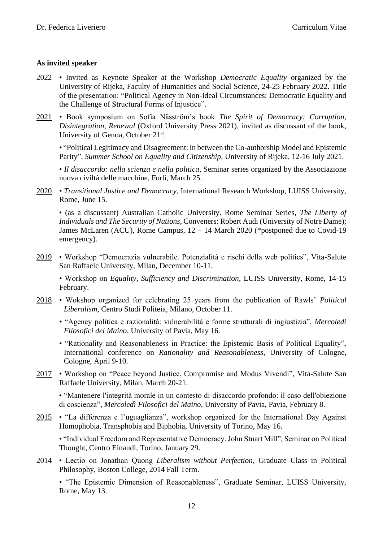#### **As invited speaker**

- 2022 Invited as Keynote Speaker at the Workshop *Democratic Equality* organized by the University of Rijeka, Faculty of Humanities and Social Science, 24-25 February 2022. Title of the presentation: "Political Agency in Non-Ideal Circumstances: Democratic Equality and the Challenge of Structural Forms of Injustice".
- 2021 Book symposium on Sofia Näsström's book *The Spirit of Democracy: Corruption, Disintegration, Renewal* (Oxford University Press 2021), invited as discussant of the book, University of Genoa, October 21<sup>st</sup>.

• "Political Legitimacy and Disagreement: in between the Co-authorship Model and Epistemic Parity", *Summer School on Equality and Citizenship*, University of Rijeka, 12-16 July 2021.

• *Il disaccordo: nella scienza e nella politica*, Seminar series organized by the Associazione nuova civiltà delle macchine, Forlì, March 25.

2020 • *Transitional Justice and Democracy*, International Research Workshop, LUISS University, Rome, June 15.

• (as a discussant) Australian Catholic University. Rome Seminar Series, *The Liberty of Individuals and The Security of Nations*, Conveners: Robert Audi (University of Notre Dame); James McLaren (ACU), Rome Campus, 12 – 14 March 2020 (\*postponed due to Covid-19 emergency).

2019 • Workshop "Democrazia vulnerabile. Potenzialità e rischi della web politics", Vita-Salute San Raffaele University, Milan, December 10-11.

• Workshop on *Equality, Sufficiency and Discrimination*, LUISS University, Rome, 14-15 February.

- 2018 Wokshop organized for celebrating 25 years from the publication of Rawls' *Political Liberalism*, Centro Studi Politeia, Milano, October 11.
	- "Agency politica e razionalità: vulnerabilità e forme strutturali di ingiustizia", *Mercoledì Filosofici del Maino*, University of Pavia, May 16.
	- "Rationality and Reasonableness in Practice: the Epistemic Basis of Political Equality", International conference on *Rationality and Reasonableness*, University of Cologne, Cologne, April 9-10.
- 2017 Workshop on "Peace beyond Justice. Compromise and Modus Vivendi", Vita-Salute San Raffaele University, Milan, March 20-21.

• "Mantenere l'integrità morale in un contesto di disaccordo profondo: il caso dell'obiezione di coscienza", *Mercoledì Filosofici del Maino*, University of Pavia, Pavia, February 8.

2015 • "La differenza e l'uguaglianza", workshop organized for the International Day Against Homophobia, Transphobia and Biphobia, University of Torino, May 16.

• "Individual Freedom and Representative Democracy. John Stuart Mill", Seminar on Political Thought, Centro Einaudi, Torino, January 29.

2014 • Lectio on Jonathan Quong *Liberalism without Perfection*, Graduate Class in Political Philosophy, Boston College, 2014 Fall Term.

• "The Epistemic Dimension of Reasonableness", Graduate Seminar, LUISS University, Rome, May 13.